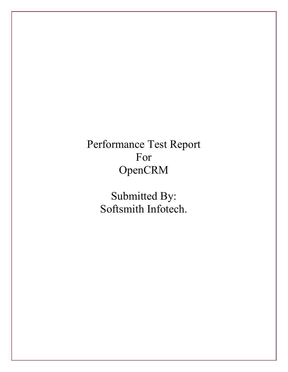# Performance Test Report For OpenCRM

Submitted By: Softsmith Infotech.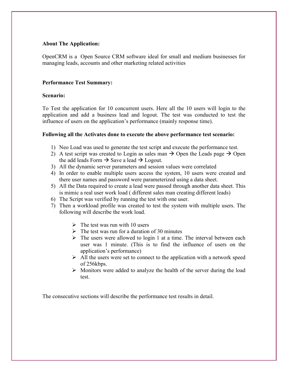## **About The Application:**

OpenCRM is a Open Source CRM software ideal for small and medium businesses for managing leads, accounts and other marketing related activities

## **Performance Test Summary:**

## **Scenario:**

To Test the application for 10 concurrent users. Here all the 10 users will login to the application and add a business lead and logout. The test was conducted to test the influence of users on the application's performance (mainly response time).

#### **Following all the Activates done to execute the above performance test scenario:**

- 1) Neo Load was used to generate the test script and execute the performance test.
- 2) A test script was created to Login as sales man  $\rightarrow$  Open the Leads page  $\rightarrow$  Open the add leads Form  $\rightarrow$  Save a lead  $\rightarrow$  Logout.
- 3) All the dynamic server parameters and session values were correlated
- 4) In order to enable multiple users access the system, 10 users were created and there user names and password were parameterized using a data sheet.
- 5) All the Data required to create a lead were passed through another data sheet. This is mimic a real user work load ( different sales man creating different leads)
- 6) The Script was verified by running the test with one user.
- 7) Then a workload profile was created to test the system with multiple users. The following will describe the work load.
	- $\triangleright$  The test was run with 10 users
	- $\triangleright$  The test was run for a duration of 30 minutes
	- $\triangleright$  The users were allowed to login 1 at a time. The interval between each user was 1 minute. (This is to find the influence of users on the application's performance)
	- $\triangleright$  All the users were set to connect to the application with a network speed of 256kbps.
	- $\triangleright$  Monitors were added to analyze the health of the server during the load test.

The consecutive sections will describe the performance test results in detail.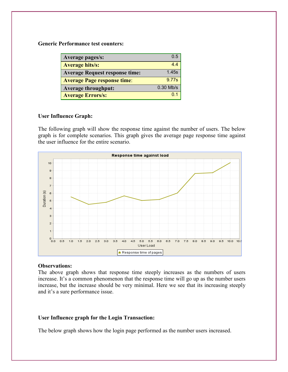**Generic Performance test counters:** 

| Average pages/s:                      | ი 5         |
|---------------------------------------|-------------|
| <b>Average hits/s:</b>                | 44          |
| <b>Average Request response time:</b> | 1.45s       |
| <b>Average Page response time:</b>    | 9.77s       |
| <b>Average throughput:</b>            | $0.30$ Mb/s |
| <b>Average Errors/s:</b>              |             |

## **User Influence Graph:**

The following graph will show the response time against the number of users. The below graph is for complete scenarios. This graph gives the average page response time against the user influence for the entire scenario.



#### **Observations:**

The above graph shows that response time steeply increases as the numbers of users increase. It's a common phenomenon that the response time will go up as the number users increase, but the increase should be very minimal. Here we see that its increasing steeply and it's a sure performance issue.

#### **User Influence graph for the Login Transaction:**

The below graph shows how the login page performed as the number users increased.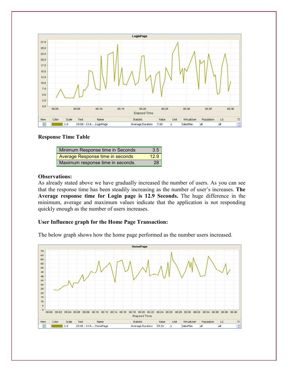

## **Response Time Table**

| Minimum Response time in Seconds  | 3.5  |
|-----------------------------------|------|
| Average Response time in seconds  | 12.9 |
| Maximum response time in seconds. | 28   |

## **Observations:**

As already stated above we have gradually increased the number of users. As you can see that the response time has been steadily increasing as the number of user's increases. **The Average response time for Login page is 12.9 Seconds.** The huge difference in the minimum, average and maximum values indicate that the application is not responding quickly enough as the number of users increases.

## **User Influence graph for the Home Page Transaction:**

The below graph shows how the home page performed as the number users increased.

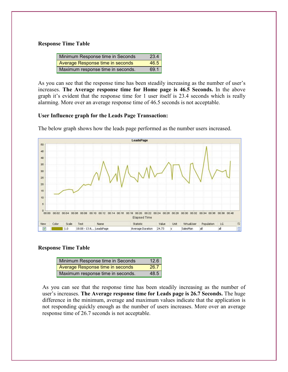#### **Response Time Table**

| Minimum Response time in Seconds  | 23.4 |
|-----------------------------------|------|
| Average Response time in seconds  | 46.5 |
| Maximum response time in seconds. | 69.1 |

As you can see that the response time has been steadily increasing as the number of user's increases. **The Average response time for Home page is 46.5 Seconds.** In the above graph it's evident that the response time for 1 user itself is 23.4 seconds which is really alarming. More over an average response time of 46.5 seconds is not acceptable.

## **User Influence graph for the Leads Page Transaction:**



The below graph shows how the leads page performed as the number users increased.

## **Response Time Table**

| Minimum Response time in Seconds  | 12.6 |
|-----------------------------------|------|
| Average Response time in seconds  | 26.7 |
| Maximum response time in seconds. | 48.5 |

As you can see that the response time has been steadily increasing as the number of user's increases. **The Average response time for Leads page is 26.7 Seconds.** The huge difference in the minimum, average and maximum values indicate that the application is not responding quickly enough as the number of users increases. More over an average response time of 26.7 seconds is not acceptable.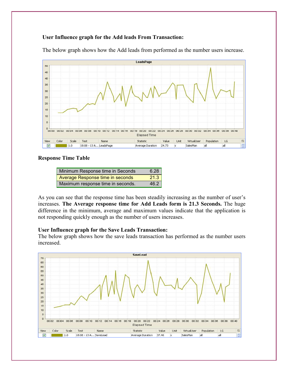# **User Influence graph for the Add leads From Transaction:**



The below graph shows how the Add leads from performed as the number users increase.

#### **Response Time Table**

| Minimum Response time in Seconds  | 6.28 |
|-----------------------------------|------|
| Average Response time in seconds  | 21.3 |
| Maximum response time in seconds. | 46.2 |

As you can see that the response time has been steadily increasing as the number of user's increases. **The Average response time for Add Leads form is 21.3 Seconds.** The huge difference in the minimum, average and maximum values indicate that the application is not responding quickly enough as the number of users increases.

#### **User Influence graph for the Save Leads Transaction:**

The below graph shows how the save leads transaction has performed as the number users increased.

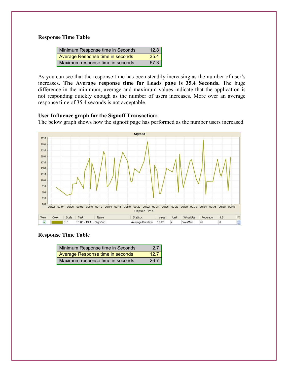## **Response Time Table**

| Minimum Response time in Seconds  | 12.8 |
|-----------------------------------|------|
| Average Response time in seconds  | 35.4 |
| Maximum response time in seconds. | 67.3 |

As you can see that the response time has been steadily increasing as the number of user's increases. **The Average response time for Leads page is 35.4 Seconds.** The huge difference in the minimum, average and maximum values indicate that the application is not responding quickly enough as the number of users increases. More over an average response time of 35.4 seconds is not acceptable.

#### **User Influence graph for the Signoff Transaction:**

The below graph shows how the signoff page has performed as the number users increased.



#### **Response Time Table**

| Minimum Response time in Seconds  | 2.7  |
|-----------------------------------|------|
| Average Response time in seconds  | 12.7 |
| Maximum response time in seconds. | 26.7 |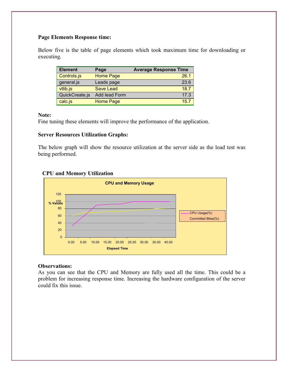# **Page Elements Response time:**

Below five is the table of page elements which took maximum time for downloading or executing.

| <b>Element</b> | Page             | <b>Average Response Time</b> |
|----------------|------------------|------------------------------|
| Controls.js    | <b>Home Page</b> | 26.1                         |
| general.js     | Leads page       | 23.6                         |
| vtlib.js       | <b>Save Lead</b> | 18.7                         |
| QuickCreate.js | Add lead Form    | 17.3                         |
| calc.js        | <b>Home Page</b> | 15.7                         |

#### **Note:**

Fine tuning these elements will improve the performance of the application.

# **Server Resources Utilization Graphs:**

The below graph will show the resource utilization at the server side as the load test was being performed.



# **CPU and Memory Utilization**

## **Observations:**

As you can see that the CPU and Memory are fully used all the time. This could be a problem for increasing response time. Increasing the hardware configuration of the server could fix this issue.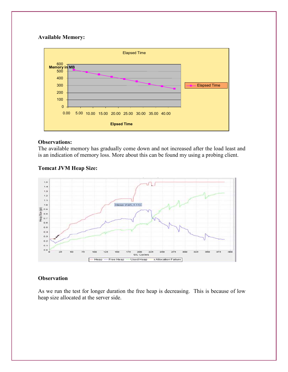# **Available Memory:**



# **Observations:**

The available memory has gradually come down and not increased after the load least and is an indication of memory loss. More about this can be found my using a probing client.

# **Tomcat JVM Heap Size:**



# **Observation**

As we run the test for longer duration the free heap is decreasing. This is because of low heap size allocated at the server side.